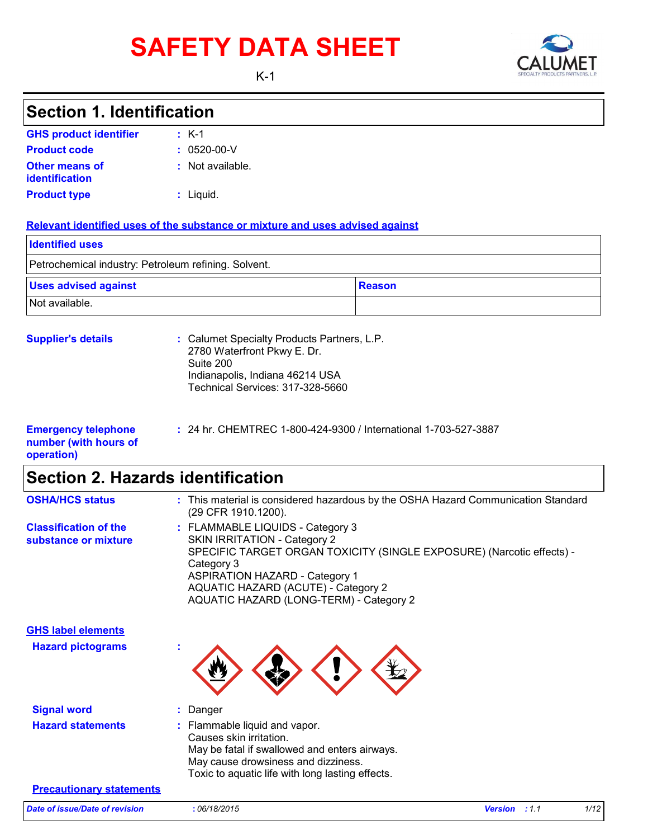# **SAFETY DATA SHEET** CALUMET



K-1

K-1 **:**

**GHS product identifier**

**Section 1. Identification**

| <b>Product code</b>                                               | $: 0520 - 00 - V$                                                                                                                                                                                                |                                                                                   |
|-------------------------------------------------------------------|------------------------------------------------------------------------------------------------------------------------------------------------------------------------------------------------------------------|-----------------------------------------------------------------------------------|
| <b>Other means of</b><br>identification                           | : Not available.                                                                                                                                                                                                 |                                                                                   |
| <b>Product type</b>                                               | : Liquid.                                                                                                                                                                                                        |                                                                                   |
|                                                                   | Relevant identified uses of the substance or mixture and uses advised against                                                                                                                                    |                                                                                   |
| <b>Identified uses</b>                                            |                                                                                                                                                                                                                  |                                                                                   |
| Petrochemical industry: Petroleum refining. Solvent.              |                                                                                                                                                                                                                  |                                                                                   |
| <b>Uses advised against</b>                                       |                                                                                                                                                                                                                  | <b>Reason</b>                                                                     |
| Not available.                                                    |                                                                                                                                                                                                                  |                                                                                   |
| <b>Supplier's details</b>                                         | : Calumet Specialty Products Partners, L.P.<br>2780 Waterfront Pkwy E. Dr.<br>Suite 200<br>Indianapolis, Indiana 46214 USA<br>Technical Services: 317-328-5660                                                   |                                                                                   |
| <b>Emergency telephone</b><br>number (with hours of<br>operation) | : 24 hr. CHEMTREC 1-800-424-9300 / International 1-703-527-3887                                                                                                                                                  |                                                                                   |
| <b>Section 2. Hazards identification</b>                          |                                                                                                                                                                                                                  |                                                                                   |
| <b>OSHA/HCS status</b>                                            | (29 CFR 1910.1200).                                                                                                                                                                                              | : This material is considered hazardous by the OSHA Hazard Communication Standard |
| <b>Classification of the</b><br>substance or mixture              | : FLAMMABLE LIQUIDS - Category 3<br><b>SKIN IRRITATION - Category 2</b><br>Category 3<br><b>ASPIRATION HAZARD - Category 1</b><br>AQUATIC HAZARD (ACUTE) - Category 2<br>AQUATIC HAZARD (LONG-TERM) - Category 2 | SPECIFIC TARGET ORGAN TOXICITY (SINGLE EXPOSURE) (Narcotic effects) -             |
| <b>GHS label elements</b>                                         |                                                                                                                                                                                                                  |                                                                                   |
| <b>Hazard pictograms</b>                                          |                                                                                                                                                                                                                  |                                                                                   |
| <b>Signal word</b>                                                | Danger                                                                                                                                                                                                           |                                                                                   |
| <b>Hazard statements</b>                                          | Flammable liquid and vapor.<br>Causes skin irritation.<br>May be fatal if swallowed and enters airways.<br>May cause drowsiness and dizziness.<br>Toxic to aquatic life with long lasting effects.               |                                                                                   |
| <b>Precautionary statements</b>                                   |                                                                                                                                                                                                                  |                                                                                   |
| Date of issue/Date of revision                                    | :06/18/2015                                                                                                                                                                                                      | 1/12<br><b>Version</b> : 1.1                                                      |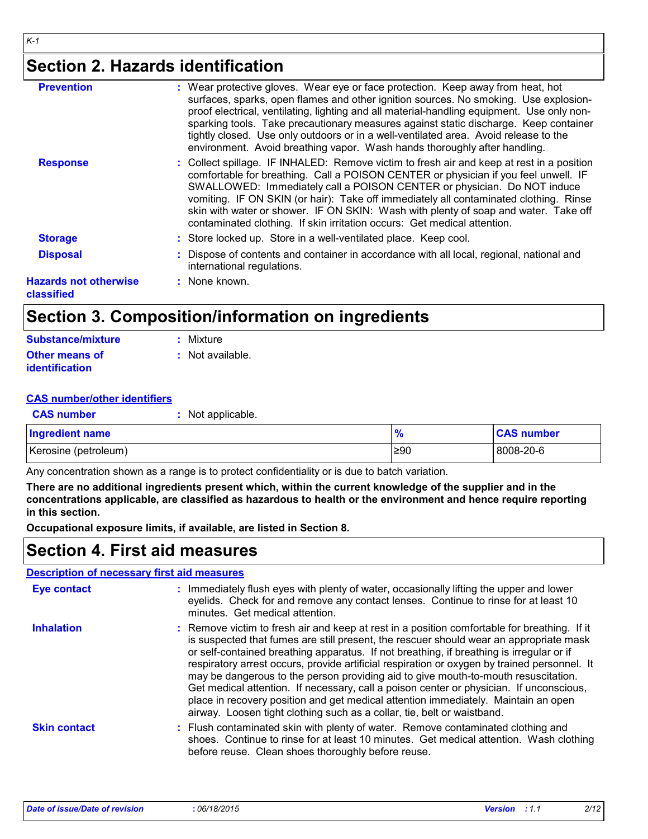### **Section 2. Hazards identification**

| <b>Prevention</b>                          | : Wear protective gloves. Wear eye or face protection. Keep away from heat, hot<br>surfaces, sparks, open flames and other ignition sources. No smoking. Use explosion-<br>proof electrical, ventilating, lighting and all material-handling equipment. Use only non-<br>sparking tools. Take precautionary measures against static discharge. Keep container<br>tightly closed. Use only outdoors or in a well-ventilated area. Avoid release to the<br>environment. Avoid breathing vapor. Wash hands thoroughly after handling. |
|--------------------------------------------|------------------------------------------------------------------------------------------------------------------------------------------------------------------------------------------------------------------------------------------------------------------------------------------------------------------------------------------------------------------------------------------------------------------------------------------------------------------------------------------------------------------------------------|
| <b>Response</b>                            | : Collect spillage. IF INHALED: Remove victim to fresh air and keep at rest in a position<br>comfortable for breathing. Call a POISON CENTER or physician if you feel unwell. IF<br>SWALLOWED: Immediately call a POISON CENTER or physician. Do NOT induce<br>vomiting. IF ON SKIN (or hair): Take off immediately all contaminated clothing. Rinse<br>skin with water or shower. IF ON SKIN: Wash with plenty of soap and water. Take off<br>contaminated clothing. If skin irritation occurs: Get medical attention.            |
| <b>Storage</b>                             | : Store locked up. Store in a well-ventilated place. Keep cool.                                                                                                                                                                                                                                                                                                                                                                                                                                                                    |
| <b>Disposal</b>                            | : Dispose of contents and container in accordance with all local, regional, national and<br>international regulations.                                                                                                                                                                                                                                                                                                                                                                                                             |
| <b>Hazards not otherwise</b><br>classified | $:$ None known.                                                                                                                                                                                                                                                                                                                                                                                                                                                                                                                    |
|                                            |                                                                                                                                                                                                                                                                                                                                                                                                                                                                                                                                    |

### **Section 3. Composition/information on ingredients**

| Substance/mixture     | : Mixture        |
|-----------------------|------------------|
| <b>Other means of</b> | : Not available. |
| <i>identification</i> |                  |

#### **CAS number/other identifiers**

| <b>CAS number</b>      | : Not applicable. |               |                   |
|------------------------|-------------------|---------------|-------------------|
| <b>Ingredient name</b> |                   | $\frac{9}{6}$ | <b>CAS number</b> |
| Kerosine (petroleum)   |                   | ≥90           | 8008-20-6         |

Any concentration shown as a range is to protect confidentiality or is due to batch variation.

**There are no additional ingredients present which, within the current knowledge of the supplier and in the concentrations applicable, are classified as hazardous to health or the environment and hence require reporting in this section.**

**Occupational exposure limits, if available, are listed in Section 8.**

### **Section 4. First aid measures**

#### **Description of necessary first aid measures**

| <b>Eye contact</b>  | : Immediately flush eyes with plenty of water, occasionally lifting the upper and lower<br>eyelids. Check for and remove any contact lenses. Continue to rinse for at least 10<br>minutes. Get medical attention.                                                                                                                                                                                                                                                                                                                                                                                                                                                                                                                    |
|---------------------|--------------------------------------------------------------------------------------------------------------------------------------------------------------------------------------------------------------------------------------------------------------------------------------------------------------------------------------------------------------------------------------------------------------------------------------------------------------------------------------------------------------------------------------------------------------------------------------------------------------------------------------------------------------------------------------------------------------------------------------|
| <b>Inhalation</b>   | : Remove victim to fresh air and keep at rest in a position comfortable for breathing. If it<br>is suspected that fumes are still present, the rescuer should wear an appropriate mask<br>or self-contained breathing apparatus. If not breathing, if breathing is irregular or if<br>respiratory arrest occurs, provide artificial respiration or oxygen by trained personnel. It<br>may be dangerous to the person providing aid to give mouth-to-mouth resuscitation.<br>Get medical attention. If necessary, call a poison center or physician. If unconscious,<br>place in recovery position and get medical attention immediately. Maintain an open<br>airway. Loosen tight clothing such as a collar, tie, belt or waistband. |
| <b>Skin contact</b> | : Flush contaminated skin with plenty of water. Remove contaminated clothing and<br>shoes. Continue to rinse for at least 10 minutes. Get medical attention. Wash clothing<br>before reuse. Clean shoes thoroughly before reuse.                                                                                                                                                                                                                                                                                                                                                                                                                                                                                                     |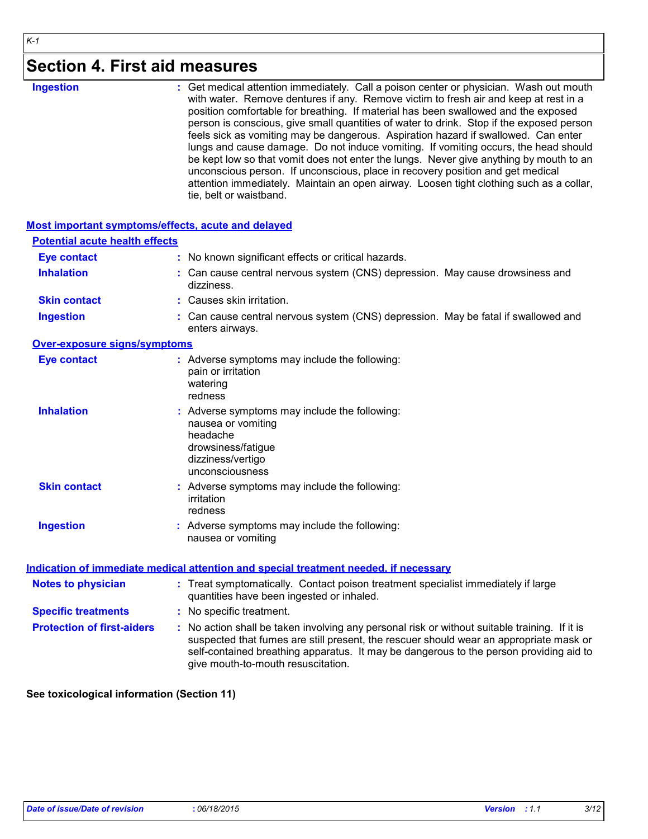### **Section 4. First aid measures**

| Ingestion |  |  |
|-----------|--|--|
|           |  |  |

**Ingestion 1988 : Get medical attention immediately. Call a poison center or physician. Wash out mouth <b>inglestion** with water. Remove dentures if any. Remove victim to fresh air and keep at rest in a position comfortable for breathing. If material has been swallowed and the exposed person is conscious, give small quantities of water to drink. Stop if the exposed person feels sick as vomiting may be dangerous. Aspiration hazard if swallowed. Can enter lungs and cause damage. Do not induce vomiting. If vomiting occurs, the head should be kept low so that vomit does not enter the lungs. Never give anything by mouth to an unconscious person. If unconscious, place in recovery position and get medical attention immediately. Maintain an open airway. Loosen tight clothing such as a collar, tie, belt or waistband.

#### **Most important symptoms/effects, acute and delayed**

| <b>Potential acute health effects</b> |                                                                                                                                                                                                                                                                                                                         |
|---------------------------------------|-------------------------------------------------------------------------------------------------------------------------------------------------------------------------------------------------------------------------------------------------------------------------------------------------------------------------|
| <b>Eye contact</b>                    | : No known significant effects or critical hazards.                                                                                                                                                                                                                                                                     |
| <b>Inhalation</b>                     | : Can cause central nervous system (CNS) depression. May cause drowsiness and<br>dizziness.                                                                                                                                                                                                                             |
| <b>Skin contact</b>                   | : Causes skin irritation.                                                                                                                                                                                                                                                                                               |
| <b>Ingestion</b>                      | : Can cause central nervous system (CNS) depression. May be fatal if swallowed and<br>enters airways.                                                                                                                                                                                                                   |
| Over-exposure signs/symptoms          |                                                                                                                                                                                                                                                                                                                         |
| <b>Eye contact</b>                    | : Adverse symptoms may include the following:<br>pain or irritation<br>watering<br>redness                                                                                                                                                                                                                              |
| <b>Inhalation</b>                     | : Adverse symptoms may include the following:<br>nausea or vomiting<br>headache<br>drowsiness/fatigue<br>dizziness/vertigo<br>unconsciousness                                                                                                                                                                           |
| <b>Skin contact</b>                   | : Adverse symptoms may include the following:<br>irritation<br>redness                                                                                                                                                                                                                                                  |
| <b>Ingestion</b>                      | : Adverse symptoms may include the following:<br>nausea or vomiting                                                                                                                                                                                                                                                     |
|                                       | Indication of immediate medical attention and special treatment needed, if necessary                                                                                                                                                                                                                                    |
| <b>Notes to physician</b>             | : Treat symptomatically. Contact poison treatment specialist immediately if large<br>quantities have been ingested or inhaled.                                                                                                                                                                                          |
| <b>Specific treatments</b>            | : No specific treatment.                                                                                                                                                                                                                                                                                                |
| <b>Protection of first-aiders</b>     | : No action shall be taken involving any personal risk or without suitable training. If it is<br>suspected that fumes are still present, the rescuer should wear an appropriate mask or<br>self-contained breathing apparatus. It may be dangerous to the person providing aid to<br>give mouth-to-mouth resuscitation. |

**See toxicological information (Section 11)**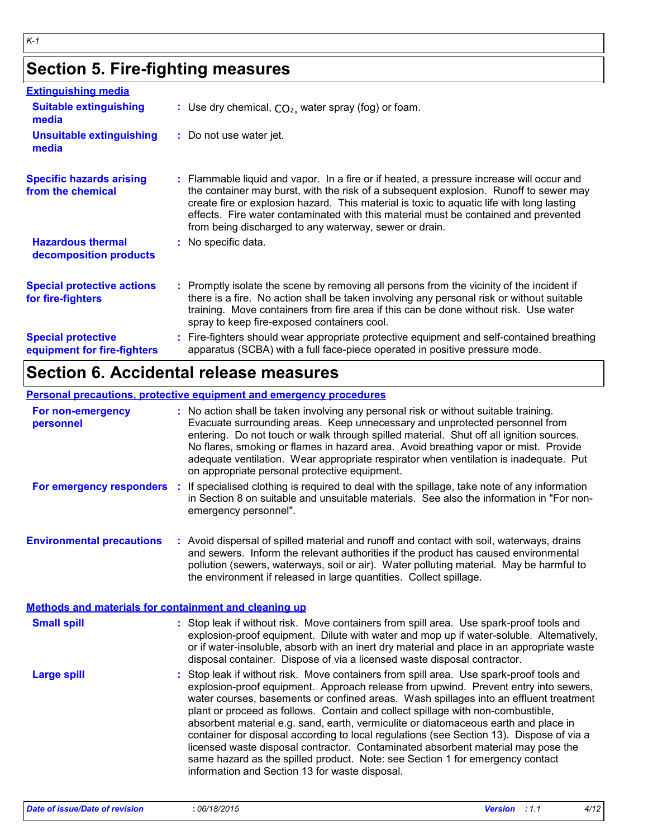# **Section 5. Fire-fighting measures**

*K-1*

| <b>Extinguishing media</b>                               |                                                                                                                                                                                                                                                                                                                                                                                                                                 |
|----------------------------------------------------------|---------------------------------------------------------------------------------------------------------------------------------------------------------------------------------------------------------------------------------------------------------------------------------------------------------------------------------------------------------------------------------------------------------------------------------|
| <b>Suitable extinguishing</b><br>media                   | : Use dry chemical, $CO2$ , water spray (fog) or foam.                                                                                                                                                                                                                                                                                                                                                                          |
| <b>Unsuitable extinguishing</b><br>media                 | : Do not use water jet.                                                                                                                                                                                                                                                                                                                                                                                                         |
| <b>Specific hazards arising</b><br>from the chemical     | : Flammable liquid and vapor. In a fire or if heated, a pressure increase will occur and<br>the container may burst, with the risk of a subsequent explosion. Runoff to sewer may<br>create fire or explosion hazard. This material is toxic to aquatic life with long lasting<br>effects. Fire water contaminated with this material must be contained and prevented<br>from being discharged to any waterway, sewer or drain. |
| <b>Hazardous thermal</b><br>decomposition products       | : No specific data.                                                                                                                                                                                                                                                                                                                                                                                                             |
| <b>Special protective actions</b><br>for fire-fighters   | : Promptly isolate the scene by removing all persons from the vicinity of the incident if<br>there is a fire. No action shall be taken involving any personal risk or without suitable<br>training. Move containers from fire area if this can be done without risk. Use water<br>spray to keep fire-exposed containers cool.                                                                                                   |
| <b>Special protective</b><br>equipment for fire-fighters | Fire-fighters should wear appropriate protective equipment and self-contained breathing<br>apparatus (SCBA) with a full face-piece operated in positive pressure mode.                                                                                                                                                                                                                                                          |

# **Section 6. Accidental release measures**

#### **Personal precautions, protective equipment and emergency procedures**

| For non-emergency<br>personnel                               | : No action shall be taken involving any personal risk or without suitable training.<br>Evacuate surrounding areas. Keep unnecessary and unprotected personnel from<br>entering. Do not touch or walk through spilled material. Shut off all ignition sources.<br>No flares, smoking or flames in hazard area. Avoid breathing vapor or mist. Provide<br>adequate ventilation. Wear appropriate respirator when ventilation is inadequate. Put<br>on appropriate personal protective equipment.                                                                                                                                                                                                                                                                    |
|--------------------------------------------------------------|--------------------------------------------------------------------------------------------------------------------------------------------------------------------------------------------------------------------------------------------------------------------------------------------------------------------------------------------------------------------------------------------------------------------------------------------------------------------------------------------------------------------------------------------------------------------------------------------------------------------------------------------------------------------------------------------------------------------------------------------------------------------|
| For emergency responders                                     | If specialised clothing is required to deal with the spillage, take note of any information<br>in Section 8 on suitable and unsuitable materials. See also the information in "For non-<br>emergency personnel".                                                                                                                                                                                                                                                                                                                                                                                                                                                                                                                                                   |
| <b>Environmental precautions</b>                             | : Avoid dispersal of spilled material and runoff and contact with soil, waterways, drains<br>and sewers. Inform the relevant authorities if the product has caused environmental<br>pollution (sewers, waterways, soil or air). Water polluting material. May be harmful to<br>the environment if released in large quantities. Collect spillage.                                                                                                                                                                                                                                                                                                                                                                                                                  |
| <b>Methods and materials for containment and cleaning up</b> |                                                                                                                                                                                                                                                                                                                                                                                                                                                                                                                                                                                                                                                                                                                                                                    |
| <b>Small spill</b>                                           | : Stop leak if without risk. Move containers from spill area. Use spark-proof tools and<br>explosion-proof equipment. Dilute with water and mop up if water-soluble. Alternatively,<br>or if water-insoluble, absorb with an inert dry material and place in an appropriate waste<br>disposal container. Dispose of via a licensed waste disposal contractor.                                                                                                                                                                                                                                                                                                                                                                                                      |
| <b>Large spill</b>                                           | Stop leak if without risk. Move containers from spill area. Use spark-proof tools and<br>explosion-proof equipment. Approach release from upwind. Prevent entry into sewers,<br>water courses, basements or confined areas. Wash spillages into an effluent treatment<br>plant or proceed as follows. Contain and collect spillage with non-combustible,<br>absorbent material e.g. sand, earth, vermiculite or diatomaceous earth and place in<br>container for disposal according to local regulations (see Section 13). Dispose of via a<br>licensed waste disposal contractor. Contaminated absorbent material may pose the<br>same hazard as the spilled product. Note: see Section 1 for emergency contact<br>information and Section 13 for waste disposal. |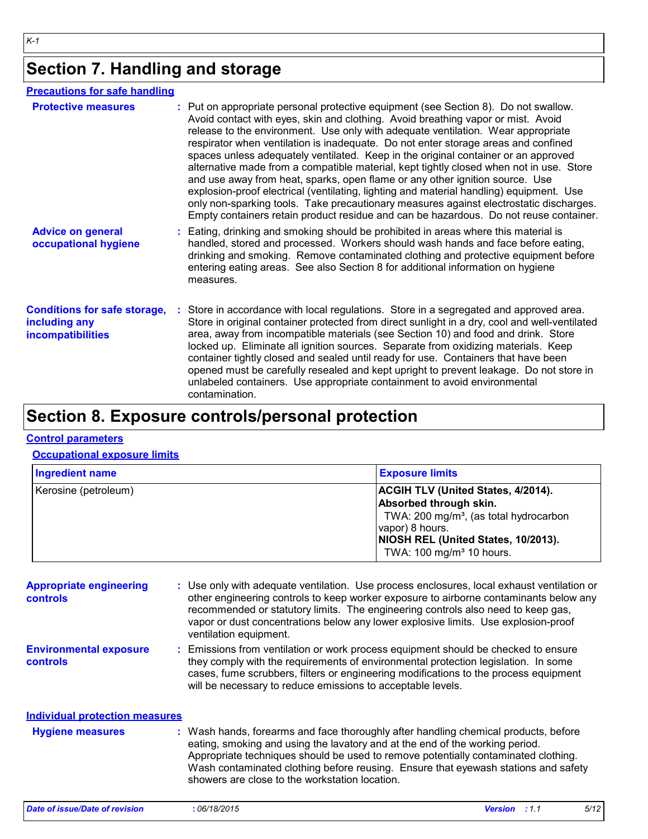# **Section 7. Handling and storage**

#### **Precautions for safe handling**

| <b>Protective measures</b>                                                       | : Put on appropriate personal protective equipment (see Section 8). Do not swallow.<br>Avoid contact with eyes, skin and clothing. Avoid breathing vapor or mist. Avoid<br>release to the environment. Use only with adequate ventilation. Wear appropriate<br>respirator when ventilation is inadequate. Do not enter storage areas and confined<br>spaces unless adequately ventilated. Keep in the original container or an approved<br>alternative made from a compatible material, kept tightly closed when not in use. Store<br>and use away from heat, sparks, open flame or any other ignition source. Use<br>explosion-proof electrical (ventilating, lighting and material handling) equipment. Use<br>only non-sparking tools. Take precautionary measures against electrostatic discharges.<br>Empty containers retain product residue and can be hazardous. Do not reuse container. |
|----------------------------------------------------------------------------------|--------------------------------------------------------------------------------------------------------------------------------------------------------------------------------------------------------------------------------------------------------------------------------------------------------------------------------------------------------------------------------------------------------------------------------------------------------------------------------------------------------------------------------------------------------------------------------------------------------------------------------------------------------------------------------------------------------------------------------------------------------------------------------------------------------------------------------------------------------------------------------------------------|
| <b>Advice on general</b><br>occupational hygiene                                 | : Eating, drinking and smoking should be prohibited in areas where this material is<br>handled, stored and processed. Workers should wash hands and face before eating,<br>drinking and smoking. Remove contaminated clothing and protective equipment before<br>entering eating areas. See also Section 8 for additional information on hygiene<br>measures.                                                                                                                                                                                                                                                                                                                                                                                                                                                                                                                                    |
| <b>Conditions for safe storage,</b><br>including any<br><b>incompatibilities</b> | Store in accordance with local regulations. Store in a segregated and approved area.<br>Store in original container protected from direct sunlight in a dry, cool and well-ventilated<br>area, away from incompatible materials (see Section 10) and food and drink. Store<br>locked up. Eliminate all ignition sources. Separate from oxidizing materials. Keep<br>container tightly closed and sealed until ready for use. Containers that have been<br>opened must be carefully resealed and kept upright to prevent leakage. Do not store in<br>unlabeled containers. Use appropriate containment to avoid environmental<br>contamination.                                                                                                                                                                                                                                                   |

# **Section 8. Exposure controls/personal protection**

#### **Control parameters**

#### **Occupational exposure limits**

| <b>Ingredient name</b> | <b>Exposure limits</b>                                                                                                                                                                                                      |
|------------------------|-----------------------------------------------------------------------------------------------------------------------------------------------------------------------------------------------------------------------------|
| Kerosine (petroleum)   | <b>ACGIH TLV (United States, 4/2014).</b><br>Absorbed through skin.<br>TWA: 200 mg/m <sup>3</sup> , (as total hydrocarbon<br>vapor) 8 hours.<br>NIOSH REL (United States, 10/2013).<br>TWA: 100 mg/m <sup>3</sup> 10 hours. |

| <b>Appropriate engineering</b><br><b>controls</b> | : Use only with adequate ventilation. Use process enclosures, local exhaust ventilation or<br>other engineering controls to keep worker exposure to airborne contaminants below any<br>recommended or statutory limits. The engineering controls also need to keep gas,<br>vapor or dust concentrations below any lower explosive limits. Use explosion-proof<br>ventilation equipment.           |                      |  |  |      |
|---------------------------------------------------|---------------------------------------------------------------------------------------------------------------------------------------------------------------------------------------------------------------------------------------------------------------------------------------------------------------------------------------------------------------------------------------------------|----------------------|--|--|------|
| <b>Environmental exposure</b><br><b>controls</b>  | : Emissions from ventilation or work process equipment should be checked to ensure<br>they comply with the requirements of environmental protection legislation. In some<br>cases, fume scrubbers, filters or engineering modifications to the process equipment<br>will be necessary to reduce emissions to acceptable levels.                                                                   |                      |  |  |      |
| <b>Individual protection measures</b>             |                                                                                                                                                                                                                                                                                                                                                                                                   |                      |  |  |      |
| <b>Hygiene measures</b>                           | : Wash hands, forearms and face thoroughly after handling chemical products, before<br>eating, smoking and using the lavatory and at the end of the working period.<br>Appropriate techniques should be used to remove potentially contaminated clothing.<br>Wash contaminated clothing before reusing. Ensure that eyewash stations and safety<br>showers are close to the workstation location. |                      |  |  |      |
| <b>Date of issue/Date of revision</b>             | :06/18/2015                                                                                                                                                                                                                                                                                                                                                                                       | <b>Version</b> : 1.1 |  |  | 5/12 |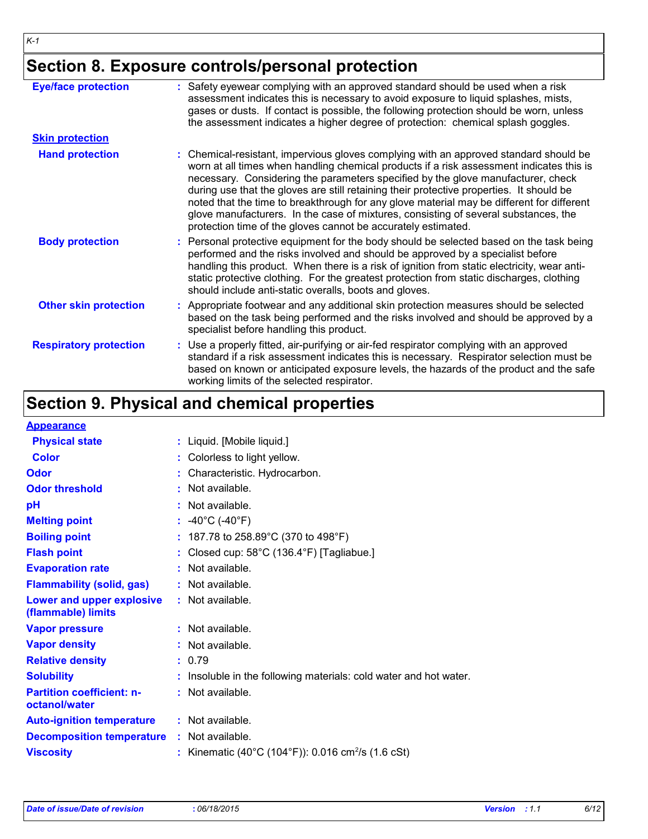*K-1*

# **Section 8. Exposure controls/personal protection**

| <b>Eye/face protection</b>    | : Safety eyewear complying with an approved standard should be used when a risk<br>assessment indicates this is necessary to avoid exposure to liquid splashes, mists,<br>gases or dusts. If contact is possible, the following protection should be worn, unless<br>the assessment indicates a higher degree of protection: chemical splash goggles.                                                                                                                                                                                                                                                                  |
|-------------------------------|------------------------------------------------------------------------------------------------------------------------------------------------------------------------------------------------------------------------------------------------------------------------------------------------------------------------------------------------------------------------------------------------------------------------------------------------------------------------------------------------------------------------------------------------------------------------------------------------------------------------|
| <b>Skin protection</b>        |                                                                                                                                                                                                                                                                                                                                                                                                                                                                                                                                                                                                                        |
| <b>Hand protection</b>        | : Chemical-resistant, impervious gloves complying with an approved standard should be<br>worn at all times when handling chemical products if a risk assessment indicates this is<br>necessary. Considering the parameters specified by the glove manufacturer, check<br>during use that the gloves are still retaining their protective properties. It should be<br>noted that the time to breakthrough for any glove material may be different for different<br>glove manufacturers. In the case of mixtures, consisting of several substances, the<br>protection time of the gloves cannot be accurately estimated. |
| <b>Body protection</b>        | : Personal protective equipment for the body should be selected based on the task being<br>performed and the risks involved and should be approved by a specialist before<br>handling this product. When there is a risk of ignition from static electricity, wear anti-<br>static protective clothing. For the greatest protection from static discharges, clothing<br>should include anti-static overalls, boots and gloves.                                                                                                                                                                                         |
| <b>Other skin protection</b>  | : Appropriate footwear and any additional skin protection measures should be selected<br>based on the task being performed and the risks involved and should be approved by a<br>specialist before handling this product.                                                                                                                                                                                                                                                                                                                                                                                              |
| <b>Respiratory protection</b> | : Use a properly fitted, air-purifying or air-fed respirator complying with an approved<br>standard if a risk assessment indicates this is necessary. Respirator selection must be<br>based on known or anticipated exposure levels, the hazards of the product and the safe<br>working limits of the selected respirator.                                                                                                                                                                                                                                                                                             |

# **Section 9. Physical and chemical properties**

| <b>Appearance</b>                                 |                                                                 |  |
|---------------------------------------------------|-----------------------------------------------------------------|--|
| <b>Physical state</b>                             | : Liquid. [Mobile liquid.]                                      |  |
| Color                                             | Colorless to light yellow.                                      |  |
| <b>Odor</b>                                       | Characteristic. Hydrocarbon.                                    |  |
| <b>Odor threshold</b>                             | : Not available.                                                |  |
| pH                                                | : Not available.                                                |  |
| <b>Melting point</b>                              | : $-40^{\circ}$ C ( $-40^{\circ}$ F)                            |  |
| <b>Boiling point</b>                              | : 187.78 to 258.89 $^{\circ}$ C (370 to 498 $^{\circ}$ F)       |  |
| <b>Flash point</b>                                | Closed cup: 58°C (136.4°F) [Tagliabue.]                         |  |
| <b>Evaporation rate</b>                           | : Not available.                                                |  |
| <b>Flammability (solid, gas)</b>                  | : Not available.                                                |  |
| Lower and upper explosive<br>(flammable) limits   | : Not available.                                                |  |
| <b>Vapor pressure</b>                             | : Not available.                                                |  |
| <b>Vapor density</b>                              | : Not available.                                                |  |
| <b>Relative density</b>                           | : 0.79                                                          |  |
| <b>Solubility</b>                                 | Insoluble in the following materials: cold water and hot water. |  |
| <b>Partition coefficient: n-</b><br>octanol/water | : Not available.                                                |  |
| <b>Auto-ignition temperature</b>                  | : Not available.                                                |  |
| <b>Decomposition temperature</b>                  | : Not available.                                                |  |
| <b>Viscosity</b>                                  | Kinematic (40°C (104°F)): 0.016 cm <sup>2</sup> /s (1.6 cSt)    |  |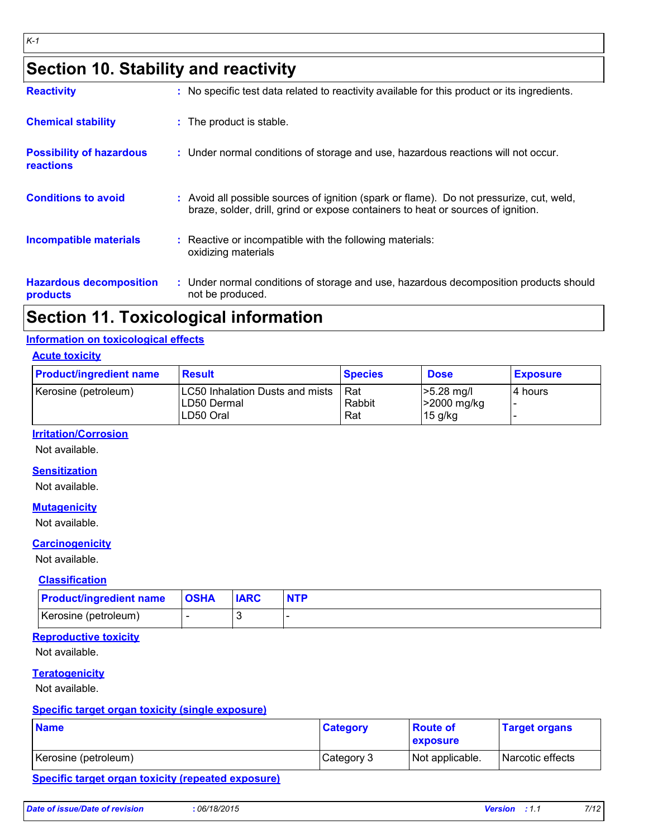# **Section 10. Stability and reactivity**

| <b>Reactivity</b>                            | : No specific test data related to reactivity available for this product or its ingredients.                                                                                 |
|----------------------------------------------|------------------------------------------------------------------------------------------------------------------------------------------------------------------------------|
| <b>Chemical stability</b>                    | : The product is stable.                                                                                                                                                     |
| <b>Possibility of hazardous</b><br>reactions | : Under normal conditions of storage and use, hazardous reactions will not occur.                                                                                            |
| <b>Conditions to avoid</b>                   | : Avoid all possible sources of ignition (spark or flame). Do not pressurize, cut, weld,<br>braze, solder, drill, grind or expose containers to heat or sources of ignition. |
| <b>Incompatible materials</b>                | Reactive or incompatible with the following materials:<br>oxidizing materials                                                                                                |
| <b>Hazardous decomposition</b><br>products   | : Under normal conditions of storage and use, hazardous decomposition products should<br>not be produced.                                                                    |

### **Section 11. Toxicological information**

#### **Information on toxicological effects**

#### **Acute toxicity**

| <b>Product/ingredient name</b> | <b>Result</b>                                               | <b>Species</b>       | <b>Dose</b>                                         | <b>Exposure</b> |
|--------------------------------|-------------------------------------------------------------|----------------------|-----------------------------------------------------|-----------------|
| Kerosine (petroleum)           | LC50 Inhalation Dusts and mists<br>LD50 Dermal<br>LD50 Oral | Rat<br>Rabbit<br>Rat | $ >5.28$ mg/l<br><b>&gt;2000 mg/kg</b><br>$15$ g/kg | 14 hours        |

#### **Irritation/Corrosion**

Not available.

#### **Sensitization**

Not available.

#### **Mutagenicity**

Not available.

#### **Carcinogenicity**

Not available.

#### **Classification**

| <b>Product/ingredient name</b> | <b>OSHA</b> | <b>IARC</b> |  |
|--------------------------------|-------------|-------------|--|
| Kerosine (petroleum)           |             |             |  |

#### **Reproductive toxicity**

Not available.

#### **Teratogenicity**

Not available.

#### **Specific target organ toxicity (single exposure)**

| <b>Name</b>          | <b>Category</b> | <b>Route of</b><br><b>exposure</b> | <b>Target organs</b>    |
|----------------------|-----------------|------------------------------------|-------------------------|
| Kerosine (petroleum) | Category 3      | Not applicable.                    | <b>Narcotic effects</b> |

#### **Specific target organ toxicity (repeated exposure)**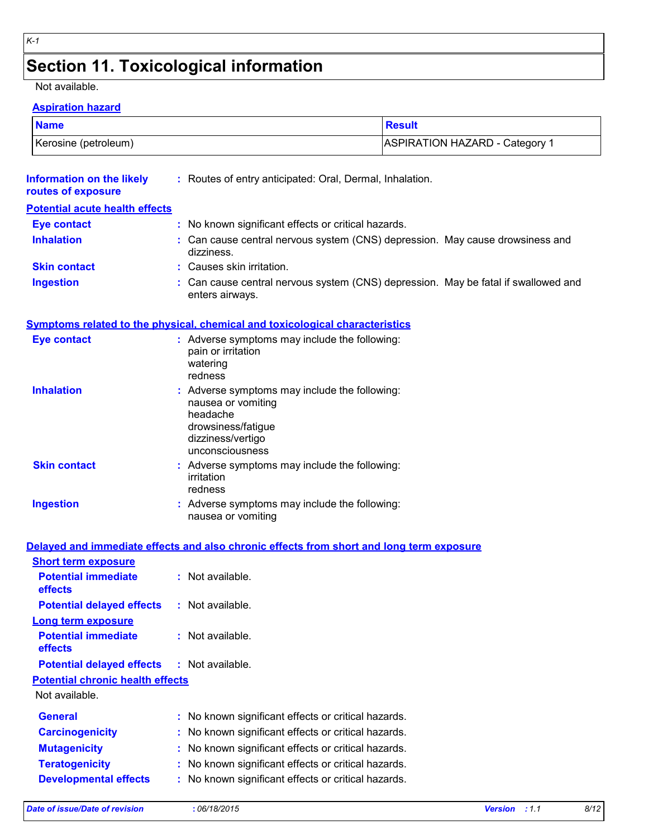# **Section 11. Toxicological information**

#### Not available.

#### **Aspiration hazard**

| <b>Name</b>          | Result                                |
|----------------------|---------------------------------------|
| Kerosine (petroleum) | <b>ASPIRATION HAZARD - Category 1</b> |

| <b>Information on the likely</b><br>routes of exposure | : Routes of entry anticipated: Oral, Dermal, Inhalation.                                                                                      |                       |
|--------------------------------------------------------|-----------------------------------------------------------------------------------------------------------------------------------------------|-----------------------|
| <b>Potential acute health effects</b>                  |                                                                                                                                               |                       |
| <b>Eye contact</b>                                     | : No known significant effects or critical hazards.                                                                                           |                       |
| <b>Inhalation</b>                                      | : Can cause central nervous system (CNS) depression. May cause drowsiness and<br>dizziness.                                                   |                       |
| <b>Skin contact</b>                                    | : Causes skin irritation.                                                                                                                     |                       |
| <b>Ingestion</b>                                       | Can cause central nervous system (CNS) depression. May be fatal if swallowed and<br>enters airways.                                           |                       |
|                                                        | Symptoms related to the physical, chemical and toxicological characteristics                                                                  |                       |
| <b>Eye contact</b>                                     | : Adverse symptoms may include the following:<br>pain or irritation<br>watering<br>redness                                                    |                       |
| <b>Inhalation</b>                                      | : Adverse symptoms may include the following:<br>nausea or vomiting<br>headache<br>drowsiness/fatigue<br>dizziness/vertigo<br>unconsciousness |                       |
| <b>Skin contact</b>                                    | : Adverse symptoms may include the following:<br>irritation<br>redness                                                                        |                       |
| <b>Ingestion</b>                                       | : Adverse symptoms may include the following:<br>nausea or vomiting                                                                           |                       |
|                                                        | Delayed and immediate effects and also chronic effects from short and long term exposure                                                      |                       |
| <b>Short term exposure</b>                             |                                                                                                                                               |                       |
| <b>Potential immediate</b><br>effects                  | : Not available.                                                                                                                              |                       |
| <b>Potential delayed effects</b>                       | : Not available.                                                                                                                              |                       |
| <b>Long term exposure</b>                              |                                                                                                                                               |                       |
| <b>Potential immediate</b><br>effects                  | : Not available.                                                                                                                              |                       |
| <b>Potential delayed effects</b>                       | $:$ Not available.                                                                                                                            |                       |
| <b>Potential chronic health effects</b>                |                                                                                                                                               |                       |
| Not available.                                         |                                                                                                                                               |                       |
| <b>General</b>                                         | No known significant effects or critical hazards.                                                                                             |                       |
| <b>Carcinogenicity</b>                                 | No known significant effects or critical hazards.                                                                                             |                       |
| <b>Mutagenicity</b>                                    | No known significant effects or critical hazards.                                                                                             |                       |
| <b>Teratogenicity</b>                                  | No known significant effects or critical hazards.                                                                                             |                       |
| <b>Developmental effects</b>                           | : No known significant effects or critical hazards.                                                                                           |                       |
| <b>Date of issue/Date of revision</b>                  | : 06/18/2015                                                                                                                                  | Version : 1.1<br>8/12 |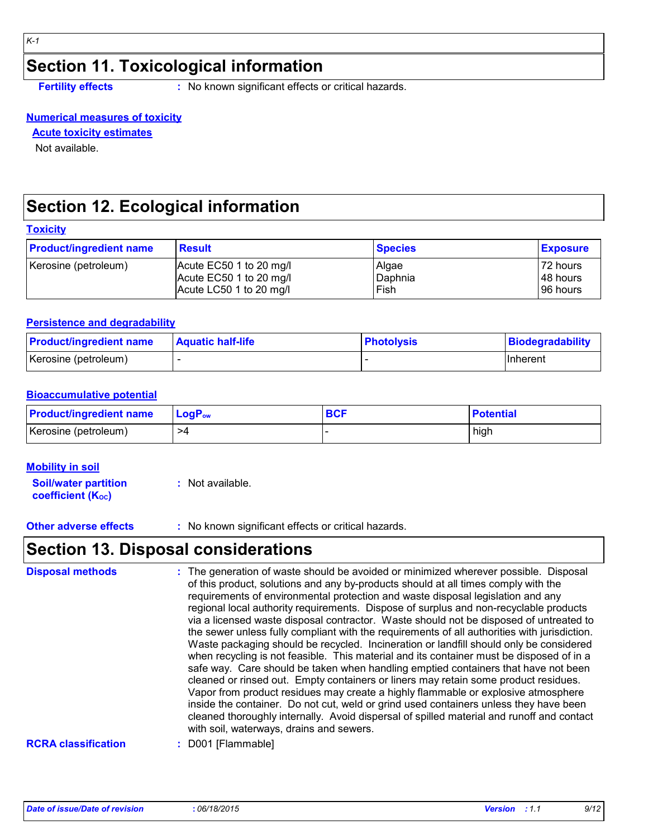### **Section 11. Toxicological information**

**Fertility effects :** No known significant effects or critical hazards.

#### **Numerical measures of toxicity**

**Acute toxicity estimates**

Not available.

# **Section 12. Ecological information**

| <b>Toxicity</b> |
|-----------------|
|-----------------|

| <b>Product/ingredient name</b> | <b>Result</b>           | <b>Species</b> | <b>Exposure</b> |
|--------------------------------|-------------------------|----------------|-----------------|
| Kerosine (petroleum)           | Acute EC50 1 to 20 mg/l | Algae          | 72 hours        |
|                                | Acute EC50 1 to 20 mg/l | Daphnia        | 48 hours        |
|                                | Acute LC50 1 to 20 mg/l | Fish           | 96 hours        |

#### **Persistence and degradability**

| <b>Product/ingredient name</b> | <b>Aquatic half-life</b> | <b>Photolysis</b> | Biodegradability |
|--------------------------------|--------------------------|-------------------|------------------|
| Kerosine (petroleum)           |                          |                   | <b>IInherent</b> |

#### **Bioaccumulative potential**

| <b>Product/ingredient name</b> | $\mathsf{LogP}_\mathsf{ow}$ | <b>RCF</b> | <b>Potential</b> |
|--------------------------------|-----------------------------|------------|------------------|
| Kerosine (petroleum)           | >4                          |            | high             |

#### **Mobility in soil**

**Soil/water partition coefficient (Koc)** 

**:** Not available.

**Other adverse effects** : No known significant effects or critical hazards.

# **Section 13. Disposal considerations**

| <b>Disposal methods</b>    | : The generation of waste should be avoided or minimized wherever possible. Disposal<br>of this product, solutions and any by-products should at all times comply with the<br>requirements of environmental protection and waste disposal legislation and any<br>regional local authority requirements. Dispose of surplus and non-recyclable products<br>via a licensed waste disposal contractor. Waste should not be disposed of untreated to<br>the sewer unless fully compliant with the requirements of all authorities with jurisdiction.<br>Waste packaging should be recycled. Incineration or landfill should only be considered<br>when recycling is not feasible. This material and its container must be disposed of in a<br>safe way. Care should be taken when handling emptied containers that have not been<br>cleaned or rinsed out. Empty containers or liners may retain some product residues.<br>Vapor from product residues may create a highly flammable or explosive atmosphere<br>inside the container. Do not cut, weld or grind used containers unless they have been<br>cleaned thoroughly internally. Avoid dispersal of spilled material and runoff and contact<br>with soil, waterways, drains and sewers. |
|----------------------------|--------------------------------------------------------------------------------------------------------------------------------------------------------------------------------------------------------------------------------------------------------------------------------------------------------------------------------------------------------------------------------------------------------------------------------------------------------------------------------------------------------------------------------------------------------------------------------------------------------------------------------------------------------------------------------------------------------------------------------------------------------------------------------------------------------------------------------------------------------------------------------------------------------------------------------------------------------------------------------------------------------------------------------------------------------------------------------------------------------------------------------------------------------------------------------------------------------------------------------------------|
| <b>RCRA classification</b> | D001 [Flammable]                                                                                                                                                                                                                                                                                                                                                                                                                                                                                                                                                                                                                                                                                                                                                                                                                                                                                                                                                                                                                                                                                                                                                                                                                           |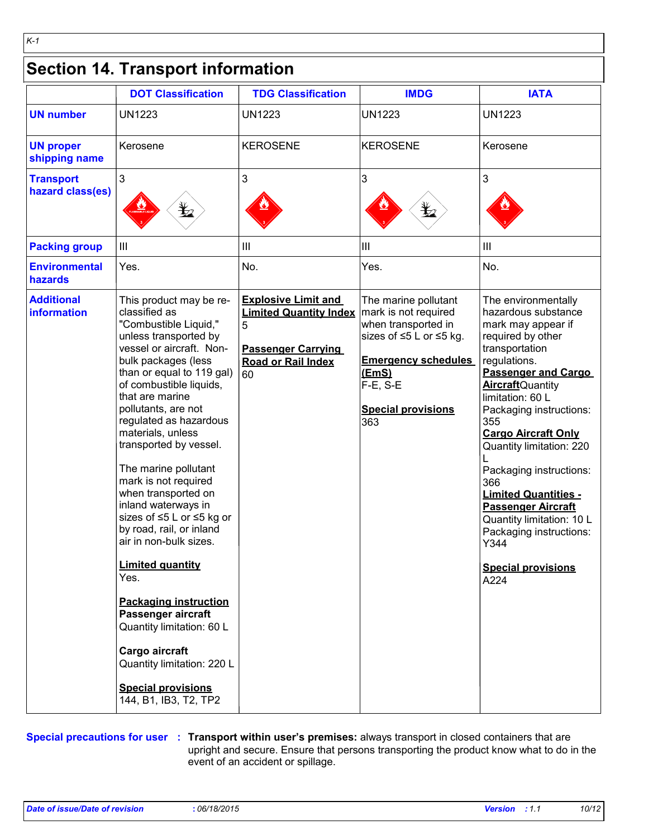# **Section 14. Transport information**

*K-1*

|                                         | <b>DOT Classification</b>                                                                                                                                                                                                                                                                                                                                                                                                                                                                                                                                                                                                                                                                                                             | <b>TDG Classification</b>                                                                                                        | <b>IMDG</b>                                                                                                                                                                           | <b>IATA</b>                                                                                                                                                                                                                                                                                                                                                                                                                                                                                          |
|-----------------------------------------|---------------------------------------------------------------------------------------------------------------------------------------------------------------------------------------------------------------------------------------------------------------------------------------------------------------------------------------------------------------------------------------------------------------------------------------------------------------------------------------------------------------------------------------------------------------------------------------------------------------------------------------------------------------------------------------------------------------------------------------|----------------------------------------------------------------------------------------------------------------------------------|---------------------------------------------------------------------------------------------------------------------------------------------------------------------------------------|------------------------------------------------------------------------------------------------------------------------------------------------------------------------------------------------------------------------------------------------------------------------------------------------------------------------------------------------------------------------------------------------------------------------------------------------------------------------------------------------------|
| <b>UN number</b>                        | <b>UN1223</b>                                                                                                                                                                                                                                                                                                                                                                                                                                                                                                                                                                                                                                                                                                                         | <b>UN1223</b>                                                                                                                    | <b>UN1223</b>                                                                                                                                                                         | <b>UN1223</b>                                                                                                                                                                                                                                                                                                                                                                                                                                                                                        |
| <b>UN proper</b><br>shipping name       | Kerosene                                                                                                                                                                                                                                                                                                                                                                                                                                                                                                                                                                                                                                                                                                                              | <b>KEROSENE</b>                                                                                                                  | KEROSENE                                                                                                                                                                              | Kerosene                                                                                                                                                                                                                                                                                                                                                                                                                                                                                             |
| <b>Transport</b><br>hazard class(es)    | 3                                                                                                                                                                                                                                                                                                                                                                                                                                                                                                                                                                                                                                                                                                                                     | 3                                                                                                                                | 3<br>¥2                                                                                                                                                                               | 3                                                                                                                                                                                                                                                                                                                                                                                                                                                                                                    |
| <b>Packing group</b>                    | $\mathbf{III}$                                                                                                                                                                                                                                                                                                                                                                                                                                                                                                                                                                                                                                                                                                                        | III                                                                                                                              | Ш                                                                                                                                                                                     | Ш                                                                                                                                                                                                                                                                                                                                                                                                                                                                                                    |
| <b>Environmental</b><br>hazards         | Yes.                                                                                                                                                                                                                                                                                                                                                                                                                                                                                                                                                                                                                                                                                                                                  | No.                                                                                                                              | Yes.                                                                                                                                                                                  | No.                                                                                                                                                                                                                                                                                                                                                                                                                                                                                                  |
| <b>Additional</b><br><b>information</b> | This product may be re-<br>classified as<br>"Combustible Liquid,"<br>unless transported by<br>vessel or aircraft. Non-<br>bulk packages (less<br>than or equal to 119 gal)<br>of combustible liquids,<br>that are marine<br>pollutants, are not<br>regulated as hazardous<br>materials, unless<br>transported by vessel.<br>The marine pollutant<br>mark is not required<br>when transported on<br>inland waterways in<br>sizes of ≤5 L or ≤5 kg or<br>by road, rail, or inland<br>air in non-bulk sizes.<br><b>Limited quantity</b><br>Yes.<br><b>Packaging instruction</b><br>Passenger aircraft<br>Quantity limitation: 60 L<br>Cargo aircraft<br>Quantity limitation: 220 L<br><b>Special provisions</b><br>144, B1, IB3, T2, TP2 | <b>Explosive Limit and</b><br><b>Limited Quantity Index</b><br>5<br><b>Passenger Carrying</b><br><b>Road or Rail Index</b><br>60 | The marine pollutant<br>mark is not required<br>when transported in<br>sizes of ≤5 L or ≤5 kg.<br><b>Emergency schedules</b><br>(EmS)<br>F-E, S-E<br><b>Special provisions</b><br>363 | The environmentally<br>hazardous substance<br>mark may appear if<br>required by other<br>transportation<br>regulations.<br><b>Passenger and Cargo</b><br><b>Aircraft</b> Quantity<br>limitation: 60 L<br>Packaging instructions:<br>355<br><b>Cargo Aircraft Only</b><br>Quantity limitation: 220<br>Packaging instructions:<br>366<br><b>Limited Quantities -</b><br><b>Passenger Aircraft</b><br>Quantity limitation: 10 L<br>Packaging instructions:<br>Y344<br><b>Special provisions</b><br>A224 |

**Special precautions for user Transport within user's premises:** always transport in closed containers that are **:** upright and secure. Ensure that persons transporting the product know what to do in the event of an accident or spillage.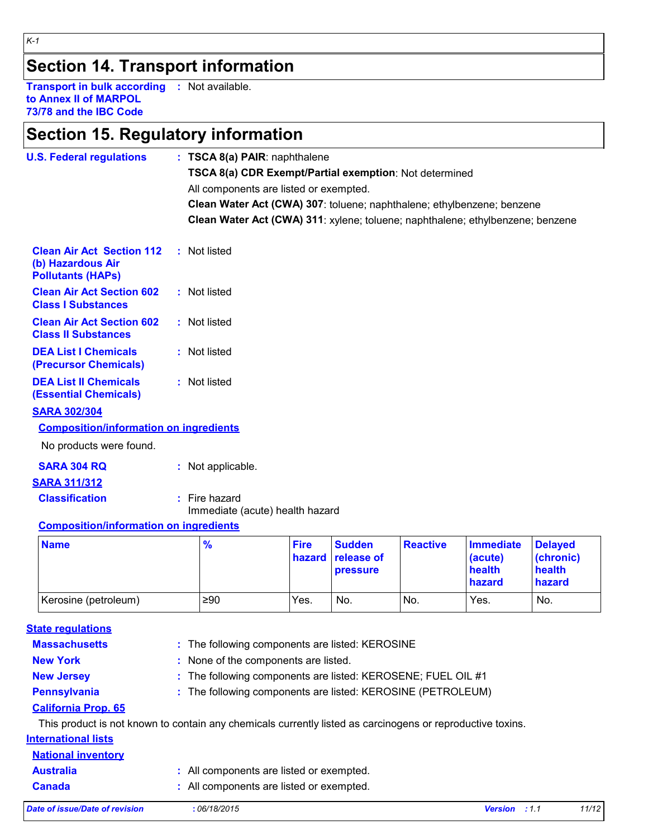# **Section 14. Transport information**

**Transport in bulk according :** Not available. **to Annex II of MARPOL 73/78 and the IBC Code**

# **Section 15. Regulatory information**

| <b>U.S. Federal regulations</b>                                                                            | : TSCA 8(a) PAIR: naphthalene<br>TSCA 8(a) CDR Exempt/Partial exemption: Not determined<br>All components are listed or exempted.<br>Clean Water Act (CWA) 307: toluene; naphthalene; ethylbenzene; benzene<br>Clean Water Act (CWA) 311: xylene; toluene; naphthalene; ethylbenzene; benzene |                       |                                         |                 |                                                 |                                                 |
|------------------------------------------------------------------------------------------------------------|-----------------------------------------------------------------------------------------------------------------------------------------------------------------------------------------------------------------------------------------------------------------------------------------------|-----------------------|-----------------------------------------|-----------------|-------------------------------------------------|-------------------------------------------------|
| <b>Clean Air Act Section 112</b><br>(b) Hazardous Air<br><b>Pollutants (HAPs)</b>                          | : Not listed                                                                                                                                                                                                                                                                                  |                       |                                         |                 |                                                 |                                                 |
| <b>Clean Air Act Section 602</b><br><b>Class I Substances</b>                                              | : Not listed                                                                                                                                                                                                                                                                                  |                       |                                         |                 |                                                 |                                                 |
| <b>Clean Air Act Section 602</b><br><b>Class II Substances</b>                                             | : Not listed                                                                                                                                                                                                                                                                                  |                       |                                         |                 |                                                 |                                                 |
| <b>DEA List I Chemicals</b><br>(Precursor Chemicals)                                                       | : Not listed                                                                                                                                                                                                                                                                                  |                       |                                         |                 |                                                 |                                                 |
| <b>DEA List II Chemicals</b><br><b>(Essential Chemicals)</b>                                               | : Not listed                                                                                                                                                                                                                                                                                  |                       |                                         |                 |                                                 |                                                 |
| <b>SARA 302/304</b>                                                                                        |                                                                                                                                                                                                                                                                                               |                       |                                         |                 |                                                 |                                                 |
| <b>Composition/information on ingredients</b>                                                              |                                                                                                                                                                                                                                                                                               |                       |                                         |                 |                                                 |                                                 |
| No products were found.                                                                                    |                                                                                                                                                                                                                                                                                               |                       |                                         |                 |                                                 |                                                 |
| <b>SARA 304 RQ</b>                                                                                         | : Not applicable.                                                                                                                                                                                                                                                                             |                       |                                         |                 |                                                 |                                                 |
| <b>SARA 311/312</b>                                                                                        |                                                                                                                                                                                                                                                                                               |                       |                                         |                 |                                                 |                                                 |
| <b>Classification</b>                                                                                      | : Fire hazard<br>Immediate (acute) health hazard                                                                                                                                                                                                                                              |                       |                                         |                 |                                                 |                                                 |
| <b>Composition/information on ingredients</b>                                                              |                                                                                                                                                                                                                                                                                               |                       |                                         |                 |                                                 |                                                 |
| <b>Name</b>                                                                                                | $\frac{9}{6}$                                                                                                                                                                                                                                                                                 | <b>Fire</b><br>hazard | <b>Sudden</b><br>release of<br>pressure | <b>Reactive</b> | <b>Immediate</b><br>(acute)<br>health<br>hazard | <b>Delayed</b><br>(chronic)<br>health<br>hazard |
| Kerosine (petroleum)                                                                                       | ≥90                                                                                                                                                                                                                                                                                           | Yes.                  | No.                                     | No.             | Yes.                                            | No.                                             |
|                                                                                                            |                                                                                                                                                                                                                                                                                               |                       |                                         |                 |                                                 |                                                 |
| <b>State regulations</b><br><b>Massachusetts</b>                                                           | : The following components are listed: KEROSINE                                                                                                                                                                                                                                               |                       |                                         |                 |                                                 |                                                 |
| <b>New York</b>                                                                                            | : None of the components are listed.                                                                                                                                                                                                                                                          |                       |                                         |                 |                                                 |                                                 |
| <b>New Jersey</b>                                                                                          | The following components are listed: KEROSENE; FUEL OIL #1                                                                                                                                                                                                                                    |                       |                                         |                 |                                                 |                                                 |
| <b>Pennsylvania</b>                                                                                        | : The following components are listed: KEROSINE (PETROLEUM)                                                                                                                                                                                                                                   |                       |                                         |                 |                                                 |                                                 |
| <b>California Prop. 65</b>                                                                                 |                                                                                                                                                                                                                                                                                               |                       |                                         |                 |                                                 |                                                 |
| This product is not known to contain any chemicals currently listed as carcinogens or reproductive toxins. |                                                                                                                                                                                                                                                                                               |                       |                                         |                 |                                                 |                                                 |
| <b>International lists</b>                                                                                 |                                                                                                                                                                                                                                                                                               |                       |                                         |                 |                                                 |                                                 |
| <b>National inventory</b>                                                                                  |                                                                                                                                                                                                                                                                                               |                       |                                         |                 |                                                 |                                                 |
| <b>Australia</b>                                                                                           | : All components are listed or exempted.                                                                                                                                                                                                                                                      |                       |                                         |                 |                                                 |                                                 |
| <b>Canada</b>                                                                                              | : All components are listed or exempted.                                                                                                                                                                                                                                                      |                       |                                         |                 |                                                 |                                                 |

*K-1*